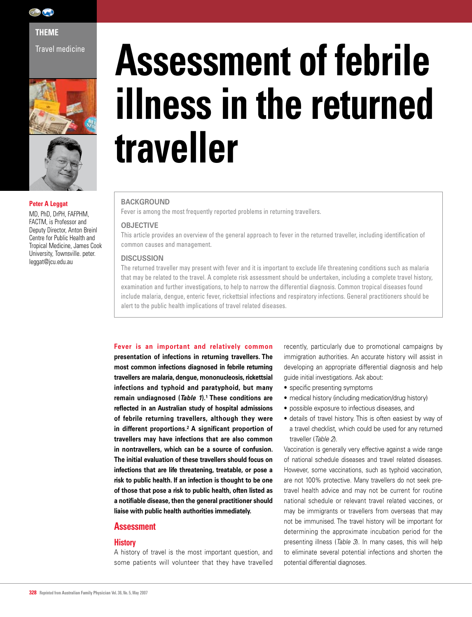

**THEME** 

Travel medicine





#### **Peter A Leggat**

MD, PhD, DrPH, FAFPHM, FACTM, is Professor and Deputy Director, Anton Breinl Centre for Public Health and Tropical Medicine, James Cook University, Townsville. peter. leggat@jcu.edu.au

# **Assessment of febrile illness in the returned traveller**

#### **BACKGROUND**

Fever is among the most frequently reported problems in returning travellers.

#### **OBJECTIVE**

This article provides an overview of the general approach to fever in the returned traveller, including identification of common causes and management.

#### **DISCUSSION**

The returned traveller may present with fever and it is important to exclude life threatening conditions such as malaria that may be related to the travel. A complete risk assessment should be undertaken, including a complete travel history, examination and further investigations, to help to narrow the differential diagnosis. Common tropical diseases found include malaria, dengue, enteric fever, rickettsial infections and respiratory infections. General practitioners should be alert to the public health implications of travel related diseases.

#### **Fever is an important and relatively common**

**presentation of infections in returning travellers. The most common infections diagnosed in febrile returning travellers are malaria, dengue, mononucleosis, rickettsial infections and typhoid and paratyphoid, but many remain undiagnosed (***Table 1***).1 These conditions are reflected in an Australian study of hospital admissions of febrile returning travellers, although they were in different proportions.2 A significant proportion of travellers may have infections that are also common in nontravellers, which can be a source of confusion. The initial evaluation of these travellers should focus on infections that are life threatening, treatable, or pose a risk to public health. If an infection is thought to be one of those that pose a risk to public health, often listed as a notifiable disease, then the general practitioner should liaise with public health authorities immediately.**

#### **Assessment**

#### **History**

A history of travel is the most important question, and some patients will volunteer that they have travelled recently, particularly due to promotional campaigns by immigration authorities. An accurate history will assist in developing an appropriate differential diagnosis and help guide initial investigations. Ask about:

- specific presenting symptoms
- medical history (including medication/drug history)
- possible exposure to infectious diseases, and
- details of travel history. This is often easiest by way of a travel checklist, which could be used for any returned traveller (*Table 2*).

Vaccination is generally very effective against a wide range of national schedule diseases and travel related diseases. However, some vaccinations, such as typhoid vaccination, are not 100% protective. Many travellers do not seek pretravel health advice and may not be current for routine national schedule or relevant travel related vaccines, or may be immigrants or travellers from overseas that may not be immunised. The travel history will be important for determining the approximate incubation period for the presenting illness (*Table 3*). In many cases, this will help to eliminate several potential infections and shorten the potential differential diagnoses.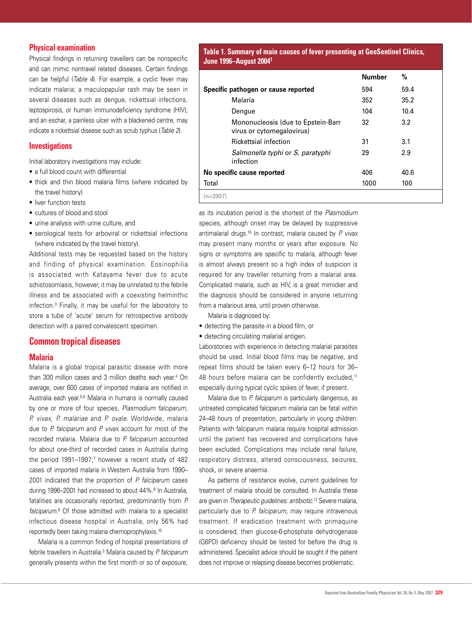#### **Physical examination**

Physical findings in returning travellers can be nonspecific and can mimic nontravel related diseases. Certain findings can be helpful (*Table 4*). For example, a cyclic fever may indicate malaria; a maculopapular rash may be seen in several diseases such as dengue, rickettsial infections, leptospirosis, or human immunodeficiency syndrome (HIV); and an eschar, a painless ulcer with a blackened centre, may indicate a rickettsial disease such as scrub typhus (*Table 2*).

#### **Investigations**

Initial laboratory investigations may include:

- a full blood count with differential
- thick and thin blood malaria films (where indicated by the travel history)
- liver function tests
- cultures of blood and stool
- urine analysis with urine culture, and
- serological tests for arboviral or rickettsial infections (where indicated by the travel history).

Additional tests may be requested based on the history and finding of physical examination. Eosinophilia is associated with Katayama fever due to acute schistosomiasis, however, it may be unrelated to the febrile illness and be associated with a coexisting helminthic infection.3 Finally, it may be useful for the laboratory to store a tube of 'acute' serum for retrospective antibody detection with a paired convalescent specimen.

#### **Common tropical diseases**

#### **Malaria**

Malaria is a global tropical parasitic disease with more than 300 million cases and 3 million deaths each year.4 On average, over 600 cases of imported malaria are notified in Australia each year.5,6 Malaria in humans is normally caused by one or more of four species, *Plasmodium falciparum, P. vivax, P. malariae* and *P. ovale*. Worldwide, malaria due to *P. falciparum* and *P. vivax* account for most of the recorded malaria. Malaria due to *P. falciparum* accounted for about one-third of recorded cases in Australia during the period  $1991-1997$ ;<sup>7</sup> however a recent study of  $482$ cases of imported malaria in Western Australia from 1990– 2001 indicated that the proportion of *P. falciparum* cases during 1996–2001 had increased to about 44%.8 In Australia, fatalities are occasionally reported, predominantly from *P. falciparum*. 9 Of those admitted with malaria to a specialist infectious disease hospital in Australia, only 56% had reportedly been taking malaria chemoprophylaxis.10

Malaria is a common finding of hospital presentations of febrile travellers in Australia.2 Malaria caused by *P. falciparum* generally presents within the first month or so of exposure,

#### **Table 1. Summary of main causes of fever presenting at GeoSentinel Clinics, June 1996–August 2004<sup>1</sup>**

|                                     |                                                                 | <b>Number</b> | %    |
|-------------------------------------|-----------------------------------------------------------------|---------------|------|
| Specific pathogen or cause reported |                                                                 | 594           | 59.4 |
|                                     | Malaria                                                         | 352           | 35.2 |
|                                     | Dengue                                                          | 104           | 10.4 |
|                                     | Mononucleosis (due to Epstein-Barr<br>virus or cytomegalovirus) | 32            | 3.2  |
|                                     | Rickettsial infection                                           | 31            | 3.1  |
|                                     | Salmonella typhi or S. paratyphi<br>infection                   | 29            | 2.9  |
| No specific cause reported          |                                                                 | 406           | 40.6 |
| Total                               |                                                                 | 1000          | 100  |
| $(n=3907)$                          |                                                                 |               |      |

as its incubation period is the shortest of the *Plasmodium* species, although onset may be delayed by suppressive antimalarial drugs.10 In contrast, malaria caused by *P. vivax* may present many months or years after exposure. No signs or symptoms are specific to malaria, although fever is almost always present so a high index of suspicion is required for any traveller returning from a malarial area. Complicated malaria, such as HIV, is a great mimicker and the diagnosis should be considered in anyone returning from a malarious area, until proven otherwise.

Malaria is diagnosed by:

- detecting the parasite in a blood film, or
- detecting circulating malarial antigen.

Laboratories with experience in detecting malarial parasites should be used. Initial blood films may be negative, and repeat films should be taken every 6–12 hours for 36– 48 hours before malaria can be confidently excluded,<sup>11</sup> especially during typical cyclic spikes of fever, if present.

Malaria due to *P. falciparum* is particularly dangerous, as untreated complicated falciparum malaria can be fatal within 24–48 hours of presentation, particularly in young children. Patients with falciparum malaria require hospital admission until the patient has recovered and complications have been excluded. Complications may include renal failure, respiratory distress, altered consciousness, seizures, shock, or severe anaemia.

As patterns of resistance evolve, current guidelines for treatment of malaria should be consulted. In Australia these are given in *Therapeutic guidelines: antibiotic*. 12 Severe malaria, particularly due to *P. falciparum*, may require intravenous treatment. If eradication treatment with primaquine is considered, then glucose-6-phosphate dehydrogenase (G6PD) deficiency should be tested for before the drug is administered. Specialist advice should be sought if the patient does not improve or relapsing disease becomes problematic.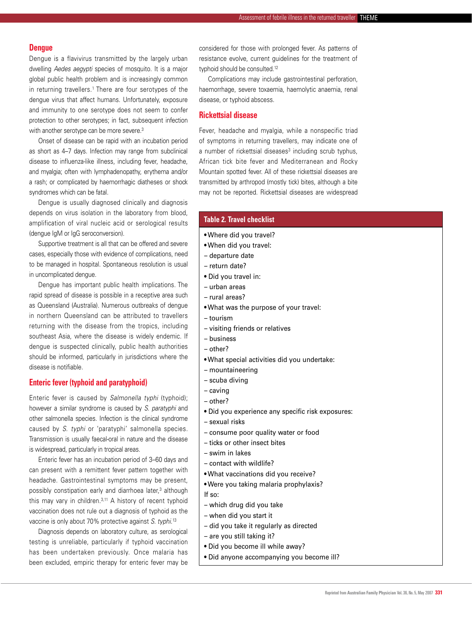#### **Dengue**

Dengue is a flavivirus transmitted by the largely urban dwelling *Aedes aegypti* species of mosquito. It is a major global public health problem and is increasingly common in returning travellers.<sup>1</sup> There are four serotypes of the dengue virus that affect humans. Unfortunately, exposure and immunity to one serotype does not seem to confer protection to other serotypes; in fact, subsequent infection with another serotype can be more severe.<sup>3</sup>

Onset of disease can be rapid with an incubation period as short as 4–7 days. Infection may range from subclinical disease to influenza-like illness, including fever, headache, and myalgia; often with lymphadenopathy, erythema and/or a rash; or complicated by haemorrhagic diatheses or shock syndromes which can be fatal.

Dengue is usually diagnosed clinically and diagnosis depends on virus isolation in the laboratory from blood, amplification of viral nucleic acid or serological results (dengue IgM or IgG seroconversion).

Supportive treatment is all that can be offered and severe cases, especially those with evidence of complications, need to be managed in hospital. Spontaneous resolution is usual in uncomplicated dengue.

Dengue has important public health implications. The rapid spread of disease is possible in a receptive area such as Queensland (Australia). Numerous outbreaks of dengue in northern Queensland can be attributed to travellers returning with the disease from the tropics, including southeast Asia, where the disease is widely endemic. If dengue is suspected clinically, public health authorities should be informed, particularly in jurisdictions where the disease is notifiable.

#### **Enteric fever (typhoid and paratyphoid)**

Enteric fever is caused by *Salmonella typhi* (typhoid); however a similar syndrome is caused by *S. paratyphi* and other salmonella species. Infection is the clinical syndrome caused by *S. typhi* or 'paratyphi' salmonella species. Transmission is usually faecal-oral in nature and the disease is widespread, particularly in tropical areas.

Enteric fever has an incubation period of 3–60 days and can present with a remittent fever pattern together with headache. Gastrointestinal symptoms may be present, possibly constipation early and diarrhoea later,3 although this may vary in children.<sup>3,11</sup> A history of recent typhoid vaccination does not rule out a diagnosis of typhoid as the vaccine is only about 70% protective against *S. typhi*. 13

Diagnosis depends on laboratory culture, as serological testing is unreliable, particularly if typhoid vaccination has been undertaken previously. Once malaria has been excluded, empiric therapy for enteric fever may be considered for those with prolonged fever. As patterns of resistance evolve, current guidelines for the treatment of typhoid should be consulted.12

Complications may include gastrointestinal perforation, haemorrhage, severe toxaemia, haemolytic anaemia, renal disease, or typhoid abscess.

#### **Rickettsial disease**

Fever, headache and myalgia, while a nonspecific triad of symptoms in returning travellers, may indicate one of a number of rickettsial diseases<sup>3</sup> including scrub typhus, African tick bite fever and Mediterranean and Rocky Mountain spotted fever. All of these rickettsial diseases are transmitted by arthropod (mostly tick) bites, although a bite may not be reported. Rickettsial diseases are widespread

#### **Table 2. Travel checklist**

- Where did you travel?
- When did you travel:
- departure date
- return date?
- Did you travel in:
- urban areas
- rural areas?
- What was the purpose of your travel:
- tourism
- visiting friends or relatives
- business
- other?
- What special activities did you undertake:
- mountaineering
- scuba diving
- caving
- other?
- Did you experience any specific risk exposures:
- sexual risks
- consume poor quality water or food
- ticks or other insect bites
- swim in lakes
- contact with wildlife?
- What vaccinations did you receive?
- Were you taking malaria prophylaxis?
- If so:
- which drug did you take
- when did you start it
- did you take it regularly as directed
- are you still taking it?
- Did you become ill while away?
- Did anyone accompanying you become ill?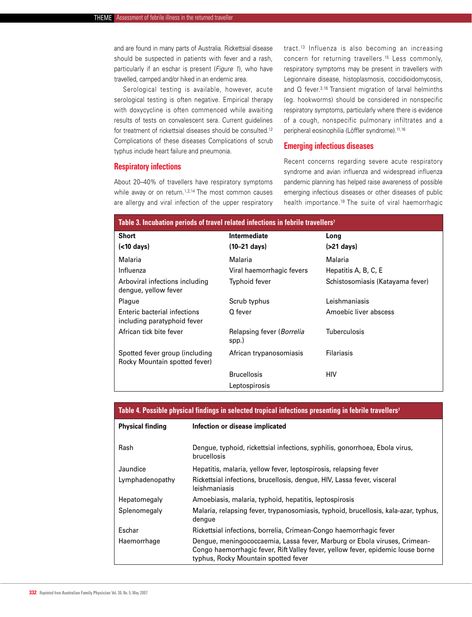and are found in many parts of Australia. Rickettsial disease should be suspected in patients with fever and a rash, particularly if an eschar is present (*Figure 1*), who have travelled, camped and/or hiked in an endemic area.

Serological testing is available, however, acute serological testing is often negative. Empirical therapy with doxycycline is often commenced while awaiting results of tests on convalescent sera. Current guidelines for treatment of rickettsial diseases should be consulted.12 Complications of these diseases Complications of scrub typhus include heart failure and pneumonia.

#### **Respiratory infections**

About 20–40% of travellers have respiratory symptoms while away or on return.<sup>1,2,14</sup> The most common causes are allergy and viral infection of the upper respiratory tract.13 Influenza is also becoming an increasing concern for returning travellers.15 Less commonly, respiratory symptoms may be present in travellers with Legionnaire disease, histoplasmosis, coccidioidomycosis, and Q fever.3,16 Transient migration of larval helminths (eg. hookworms) should be considered in nonspecific respiratory symptoms, particularly where there is evidence of a cough, nonspecific pulmonary infiltrates and a peripheral eosinophilia (Löffler syndrome).<sup>11,16</sup>

#### **Emerging infectious diseases**

Recent concerns regarding severe acute respiratory syndrome and avian influenza and widespread influenza pandemic planning has helped raise awareness of possible emerging infectious diseases or other diseases of public health importance.19 The suite of viral haemorrhagic

| Table 3. Incubation periods of travel related infections in febrile travellers <sup>7</sup> |                                            |                                  |  |  |
|---------------------------------------------------------------------------------------------|--------------------------------------------|----------------------------------|--|--|
| Short<br>$(<$ 10 days)                                                                      | Intermediate<br>(10–21 days)               | Long<br>$($ >21 days $)$         |  |  |
| Malaria                                                                                     | Malaria                                    | Malaria                          |  |  |
| Influenza                                                                                   | Viral haemorrhagic fevers                  | Hepatitis A, B, C, E             |  |  |
| Arboviral infections including<br>dengue, yellow fever                                      | Typhoid fever                              | Schistosomiasis (Katayama fever) |  |  |
| Plague                                                                                      | Scrub typhus                               | Leishmaniasis                    |  |  |
| Enteric bacterial infections<br>including paratyphoid fever                                 | Q fever                                    | Amoebic liver abscess            |  |  |
| African tick bite fever                                                                     | Relapsing fever ( <i>Borrelia</i><br>spp.) | <b>Tuberculosis</b>              |  |  |
| Spotted fever group (including<br>Rocky Mountain spotted fever)                             | African trypanosomiasis                    | Filariasis                       |  |  |
|                                                                                             | <b>Brucellosis</b>                         | HIV                              |  |  |
|                                                                                             | Leptospirosis                              |                                  |  |  |

#### **Table 4. Possible physical findings in selected tropical infections presenting in febrile travellers7**

| <b>Physical finding</b> | Infection or disease implicated                                                                                                                                                                      |
|-------------------------|------------------------------------------------------------------------------------------------------------------------------------------------------------------------------------------------------|
| Rash                    | Dengue, typhoid, rickettsial infections, syphilis, gonorrhoea, Ebola virus,<br>brucellosis                                                                                                           |
| Jaundice                | Hepatitis, malaria, yellow fever, leptospirosis, relapsing fever                                                                                                                                     |
| Lymphadenopathy         | Rickettsial infections, brucellosis, dengue, HIV, Lassa fever, visceral<br>leishmaniasis                                                                                                             |
| Hepatomegaly            | Amoebiasis, malaria, typhoid, hepatitis, leptospirosis                                                                                                                                               |
| Splenomegaly            | Malaria, relapsing fever, trypanosomiasis, typhoid, brucellosis, kala-azar, typhus,<br>dengue                                                                                                        |
| Eschar                  | Rickettsial infections, borrelia, Crimean-Congo haemorrhagic fever                                                                                                                                   |
| Haemorrhage             | Dengue, meningococcaemia, Lassa fever, Marburg or Ebola viruses, Crimean-<br>Congo haemorrhagic fever, Rift Valley fever, yellow fever, epidemic louse borne<br>typhus, Rocky Mountain spotted fever |